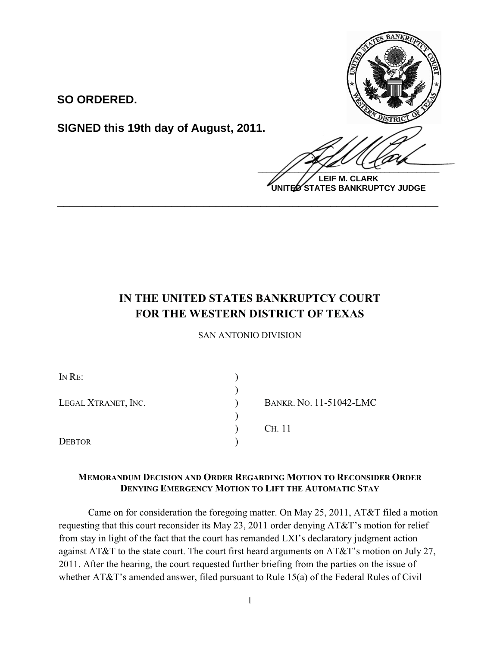**SO ORDERED.**

**SIGNED this 19th day of August, 2011.**



**LEIF M. CLARK UNITED STATES BANKRUPTCY JUDGE**

# **IN THE UNITED STATES BANKRUPTCY COURT FOR THE WESTERN DISTRICT OF TEXAS**

**\_\_\_\_\_\_\_\_\_\_\_\_\_\_\_\_\_\_\_\_\_\_\_\_\_\_\_\_\_\_\_\_\_\_\_\_\_\_\_\_\_\_\_\_\_\_\_\_\_\_\_\_\_\_\_\_\_\_\_\_**

SAN ANTONIO DIVISION

| IN RE:              |                                |
|---------------------|--------------------------------|
|                     |                                |
| LEGAL XTRANET, INC. | <b>BANKR. NO. 11-51042-LMC</b> |
|                     |                                |
|                     | C <sub>H</sub> . 11            |
| <b>DEBTOR</b>       |                                |

## **MEMORANDUM DECISION AND ORDER REGARDING MOTION TO RECONSIDER ORDER DENYING EMERGENCY MOTION TO LIFT THE AUTOMATIC STAY**

Came on for consideration the foregoing matter. On May 25, 2011, AT&T filed a motion requesting that this court reconsider its May 23, 2011 order denying AT&T's motion for relief from stay in light of the fact that the court has remanded LXI's declaratory judgment action against AT&T to the state court. The court first heard arguments on AT&T's motion on July 27, 2011. After the hearing, the court requested further briefing from the parties on the issue of whether AT&T's amended answer, filed pursuant to Rule 15(a) of the Federal Rules of Civil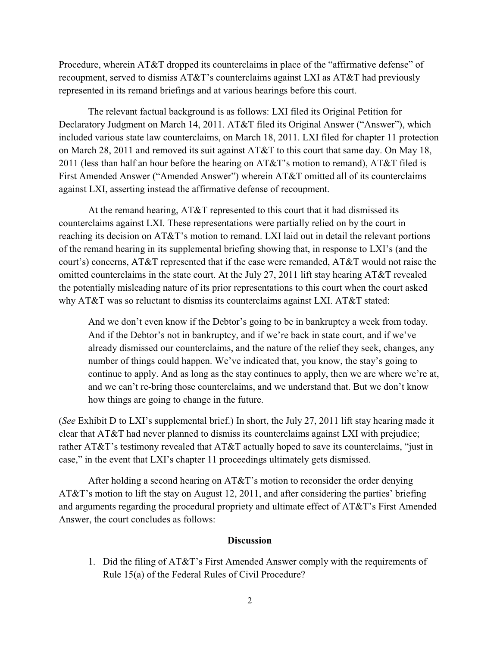Procedure, wherein AT&T dropped its counterclaims in place of the "affirmative defense" of recoupment, served to dismiss AT&T's counterclaims against LXI as AT&T had previously represented in its remand briefings and at various hearings before this court.

The relevant factual background is as follows: LXI filed its Original Petition for Declaratory Judgment on March 14, 2011. AT&T filed its Original Answer ("Answer"), which included various state law counterclaims, on March 18, 2011. LXI filed for chapter 11 protection on March 28, 2011 and removed its suit against AT&T to this court that same day. On May 18, 2011 (less than half an hour before the hearing on  $AT&T$ 's motion to remand),  $AT&T$  filed is First Amended Answer ("Amended Answer") wherein AT&T omitted all of its counterclaims against LXI, asserting instead the affirmative defense of recoupment.

At the remand hearing, AT&T represented to this court that it had dismissed its counterclaims against LXI. These representations were partially relied on by the court in reaching its decision on AT&T's motion to remand. LXI laid out in detail the relevant portions of the remand hearing in its supplemental briefing showing that, in response to LXI's (and the court's) concerns, AT&T represented that if the case were remanded, AT&T would not raise the omitted counterclaims in the state court. At the July 27, 2011 lift stay hearing AT&T revealed the potentially misleading nature of its prior representations to this court when the court asked why AT&T was so reluctant to dismiss its counterclaims against LXI. AT&T stated:

And we don't even know if the Debtor's going to be in bankruptcy a week from today. And if the Debtor's not in bankruptcy, and if we're back in state court, and if we've already dismissed our counterclaims, and the nature of the relief they seek, changes, any number of things could happen. We've indicated that, you know, the stay's going to continue to apply. And as long as the stay continues to apply, then we are where we're at, and we can't re-bring those counterclaims, and we understand that. But we don't know how things are going to change in the future.

(*See* Exhibit D to LXI's supplemental brief.) In short, the July 27, 2011 lift stay hearing made it clear that AT&T had never planned to dismiss its counterclaims against LXI with prejudice; rather AT&T's testimony revealed that AT&T actually hoped to save its counterclaims, "just in case," in the event that LXI's chapter 11 proceedings ultimately gets dismissed.

After holding a second hearing on  $AT&T$ 's motion to reconsider the order denying AT&T's motion to lift the stay on August 12, 2011, and after considering the parties' briefing and arguments regarding the procedural propriety and ultimate effect of AT&T's First Amended Answer, the court concludes as follows:

### **Discussion**

1. Did the filing of AT&T's First Amended Answer comply with the requirements of Rule 15(a) of the Federal Rules of Civil Procedure?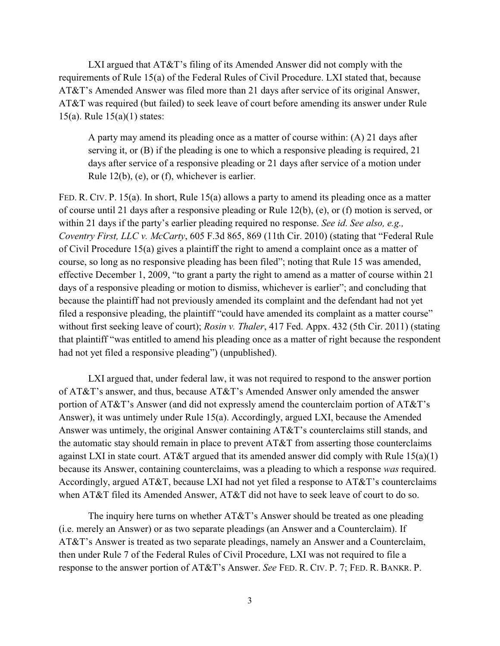LXI argued that AT&T's filing of its Amended Answer did not comply with the requirements of Rule 15(a) of the Federal Rules of Civil Procedure. LXI stated that, because AT&T's Amended Answer was filed more than 21 days after service of its original Answer, AT&T was required (but failed) to seek leave of court before amending its answer under Rule 15(a). Rule 15(a)(1) states:

A party may amend its pleading once as a matter of course within: (A) 21 days after serving it, or (B) if the pleading is one to which a responsive pleading is required, 21 days after service of a responsive pleading or 21 days after service of a motion under Rule 12(b), (e), or (f), whichever is earlier.

FED. R. CIV. P. 15(a). In short, Rule 15(a) allows a party to amend its pleading once as a matter of course until 21 days after a responsive pleading or Rule 12(b), (e), or (f) motion is served, or within 21 days if the party's earlier pleading required no response. *See id*. *See also, e.g., Coventry First, LLC v. McCarty*, 605 F.3d 865, 869 (11th Cir. 2010) (stating that "Federal Rule of Civil Procedure 15(a) gives a plaintiff the right to amend a complaint once as a matter of course, so long as no responsive pleading has been filed"; noting that Rule 15 was amended, effective December 1, 2009, "to grant a party the right to amend as a matter of course within 21 days of a responsive pleading or motion to dismiss, whichever is earlier"; and concluding that because the plaintiff had not previously amended its complaint and the defendant had not yet filed a responsive pleading, the plaintiff "could have amended its complaint as a matter course" without first seeking leave of court); *Rosin v. Thaler*, 417 Fed. Appx. 432 (5th Cir. 2011) (stating that plaintiff "was entitled to amend his pleading once as a matter of right because the respondent had not yet filed a responsive pleading") (unpublished).

LXI argued that, under federal law, it was not required to respond to the answer portion of AT&T's answer, and thus, because AT&T's Amended Answer only amended the answer portion of AT&T's Answer (and did not expressly amend the counterclaim portion of AT&T's Answer), it was untimely under Rule 15(a). Accordingly, argued LXI, because the Amended Answer was untimely, the original Answer containing AT&T's counterclaims still stands, and the automatic stay should remain in place to prevent AT&T from asserting those counterclaims against LXI in state court. AT&T argued that its amended answer did comply with Rule  $15(a)(1)$ because its Answer, containing counterclaims, was a pleading to which a response *was* required. Accordingly, argued AT&T, because LXI had not yet filed a response to AT&T's counterclaims when AT&T filed its Amended Answer, AT&T did not have to seek leave of court to do so.

The inquiry here turns on whether AT&T's Answer should be treated as one pleading (i.e. merely an Answer) or as two separate pleadings (an Answer and a Counterclaim). If AT&T's Answer is treated as two separate pleadings, namely an Answer and a Counterclaim, then under Rule 7 of the Federal Rules of Civil Procedure, LXI was not required to file a response to the answer portion of AT&T's Answer. *See* FED. R. CIV. P. 7; FED. R. BANKR. P.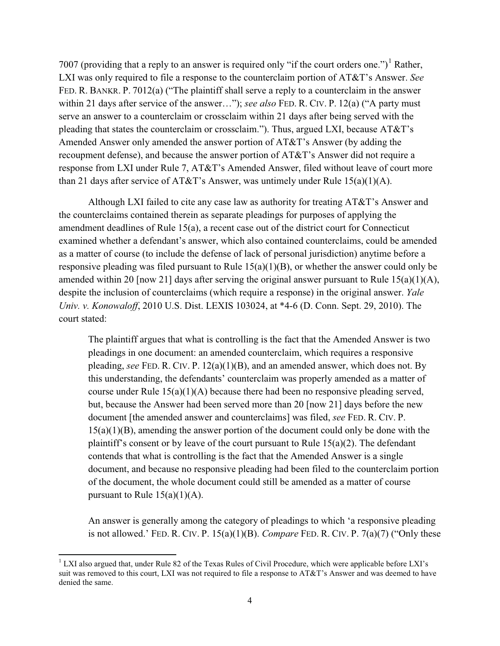7007 (providing that a reply to an answer is required only "if the court orders one.")<sup>1</sup> Rather, LXI was only required to file a response to the counterclaim portion of AT&T's Answer. *See* FED. R. BANKR. P. 7012(a) ("The plaintiff shall serve a reply to a counterclaim in the answer within 21 days after service of the answer..."); see also FED. R. CIV. P. 12(a) ("A party must serve an answer to a counterclaim or crossclaim within 21 days after being served with the pleading that states the counterclaim or crossclaim."). Thus, argued LXI, because AT&T's Amended Answer only amended the answer portion of AT&T's Answer (by adding the recoupment defense), and because the answer portion of AT&T's Answer did not require a response from LXI under Rule 7, AT&T's Amended Answer, filed without leave of court more than 21 days after service of AT&T's Answer, was untimely under Rule  $15(a)(1)(A)$ .

Although LXI failed to cite any case law as authority for treating AT&T's Answer and the counterclaims contained therein as separate pleadings for purposes of applying the amendment deadlines of Rule 15(a), a recent case out of the district court for Connecticut examined whether a defendant's answer, which also contained counterclaims, could be amended as a matter of course (to include the defense of lack of personal jurisdiction) anytime before a responsive pleading was filed pursuant to Rule 15(a)(1)(B), or whether the answer could only be amended within 20 [now 21] days after serving the original answer pursuant to Rule 15(a)(1)(A), despite the inclusion of counterclaims (which require a response) in the original answer. *Yale Univ. v. Konowaloff*, 2010 U.S. Dist. LEXIS 103024, at \*4-6 (D. Conn. Sept. 29, 2010). The court stated:

The plaintiff argues that what is controlling is the fact that the Amended Answer is two pleadings in one document: an amended counterclaim, which requires a responsive pleading, *see* FED. R. CIV. P. 12(a)(1)(B), and an amended answer, which does not. By this understanding, the defendants' counterclaim was properly amended as a matter of course under Rule  $15(a)(1)(A)$  because there had been no responsive pleading served, but, because the Answer had been served more than 20 [now 21] days before the new document [the amended answer and counterclaims] was filed, *see* FED. R. CIV. P. 15(a)(1)(B), amending the answer portion of the document could only be done with the plaintiff's consent or by leave of the court pursuant to Rule  $15(a)(2)$ . The defendant contends that what is controlling is the fact that the Amended Answer is a single document, and because no responsive pleading had been filed to the counterclaim portion of the document, the whole document could still be amended as a matter of course pursuant to Rule  $15(a)(1)(A)$ .

An answer is generally among the category of pleadings to which 'a responsive pleading is not allowed.' FED. R. CIV. P. 15(a)(1)(B). *Compare* FED. R. CIV. P. 7(a)(7) ("Only these

l

<sup>&</sup>lt;sup>1</sup> LXI also argued that, under Rule 82 of the Texas Rules of Civil Procedure, which were applicable before LXI's suit was removed to this court, LXI was not required to file a response to AT&T's Answer and was deemed to have denied the same.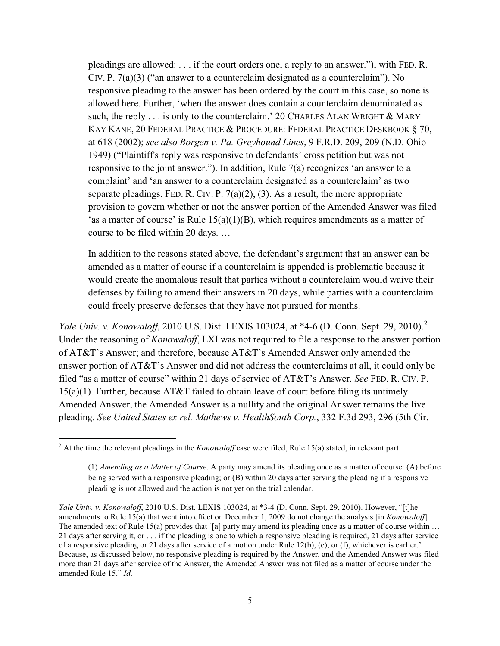pleadings are allowed: . . . if the court orders one, a reply to an answer."), with FED. R. CIV. P. 7(a)(3) ("an answer to a counterclaim designated as a counterclaim"). No responsive pleading to the answer has been ordered by the court in this case, so none is allowed here. Further, 'when the answer does contain a counterclaim denominated as such, the reply  $\ldots$  is only to the counterclaim.' 20 CHARLES ALAN WRIGHT  $\&$  MARY KAY KANE, 20 FEDERAL PRACTICE & PROCEDURE: FEDERAL PRACTICE DESKBOOK § 70, at 618 (2002); *see also Borgen v. Pa. Greyhound Lines*, 9 F.R.D. 209, 209 (N.D. Ohio 1949) ("Plaintiff's reply was responsive to defendants' cross petition but was not responsive to the joint answer."). In addition, Rule 7(a) recognizes 'an answer to a complaint' and 'an answer to a counterclaim designated as a counterclaim' as two separate pleadings. FED. R. CIV. P.  $7(a)(2)$ , (3). As a result, the more appropriate provision to govern whether or not the answer portion of the Amended Answer was filed 'as a matter of course' is Rule  $15(a)(1)(B)$ , which requires amendments as a matter of course to be filed within 20 days. …

In addition to the reasons stated above, the defendant's argument that an answer can be amended as a matter of course if a counterclaim is appended is problematic because it would create the anomalous result that parties without a counterclaim would waive their defenses by failing to amend their answers in 20 days, while parties with a counterclaim could freely preserve defenses that they have not pursued for months.

*Yale Univ. v. Konowaloff*, 2010 U.S. Dist. LEXIS 103024, at \*4-6 (D. Conn. Sept. 29, 2010).<sup>2</sup> Under the reasoning of *Konowaloff*, LXI was not required to file a response to the answer portion of AT&T's Answer; and therefore, because AT&T's Amended Answer only amended the answer portion of AT&T's Answer and did not address the counterclaims at all, it could only be filed "as a matter of course" within 21 days of service of AT&T's Answer. *See* FED. R. CIV. P. 15(a)(1). Further, because AT&T failed to obtain leave of court before filing its untimely Amended Answer, the Amended Answer is a nullity and the original Answer remains the live pleading. *See United States ex rel. Mathews v. HealthSouth Corp.*, 332 F.3d 293, 296 (5th Cir.

 $\overline{a}$ 

<sup>2</sup> At the time the relevant pleadings in the *Konowaloff* case were filed, Rule 15(a) stated, in relevant part:

<sup>(1)</sup> *Amending as a Matter of Course*. A party may amend its pleading once as a matter of course: (A) before being served with a responsive pleading; or (B) within 20 days after serving the pleading if a responsive pleading is not allowed and the action is not yet on the trial calendar.

*Yale Univ. v. Konowaloff*, 2010 U.S. Dist. LEXIS 103024, at \*3-4 (D. Conn. Sept. 29, 2010). However, "[t]he amendments to Rule 15(a) that went into effect on December 1, 2009 do not change the analysis [in *Konowaloff*]. The amended text of Rule 15(a) provides that '[a] party may amend its pleading once as a matter of course within ... 21 days after serving it, or . . . if the pleading is one to which a responsive pleading is required, 21 days after service of a responsive pleading or 21 days after service of a motion under Rule 12(b), (e), or (f), whichever is earlier.' Because, as discussed below, no responsive pleading is required by the Answer, and the Amended Answer was filed more than 21 days after service of the Answer, the Amended Answer was not filed as a matter of course under the amended Rule 15." *Id*.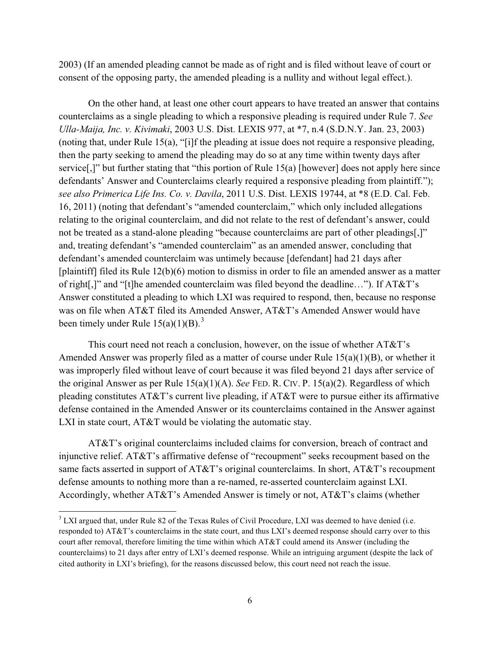2003) (If an amended pleading cannot be made as of right and is filed without leave of court or consent of the opposing party, the amended pleading is a nullity and without legal effect.).

On the other hand, at least one other court appears to have treated an answer that contains counterclaims as a single pleading to which a responsive pleading is required under Rule 7. *See Ulla-Maija, Inc. v. Kivimaki*, 2003 U.S. Dist. LEXIS 977, at \*7, n.4 (S.D.N.Y. Jan. 23, 2003) (noting that, under Rule 15(a), "[i]f the pleading at issue does not require a responsive pleading, then the party seeking to amend the pleading may do so at any time within twenty days after service[,]" but further stating that "this portion of Rule 15(a) [however] does not apply here since defendants' Answer and Counterclaims clearly required a responsive pleading from plaintiff."); *see also Primerica Life Ins. Co. v. Davila*, 2011 U.S. Dist. LEXIS 19744, at \*8 (E.D. Cal. Feb. 16, 2011) (noting that defendant's "amended counterclaim," which only included allegations relating to the original counterclaim, and did not relate to the rest of defendant's answer, could not be treated as a stand-alone pleading "because counterclaims are part of other pleadings[,]" and, treating defendant's "amended counterclaim" as an amended answer, concluding that defendant's amended counterclaim was untimely because [defendant] had 21 days after [plaintiff] filed its Rule 12(b)(6) motion to dismiss in order to file an amended answer as a matter of right[,]" and "[t]he amended counterclaim was filed beyond the deadline…"). If AT&T's Answer constituted a pleading to which LXI was required to respond, then, because no response was on file when AT&T filed its Amended Answer, AT&T's Amended Answer would have been timely under Rule  $15(a)(1)(B)$ .<sup>3</sup>

This court need not reach a conclusion, however, on the issue of whether AT&T's Amended Answer was properly filed as a matter of course under Rule 15(a)(1)(B), or whether it was improperly filed without leave of court because it was filed beyond 21 days after service of the original Answer as per Rule 15(a)(1)(A). *See* FED. R. CIV. P. 15(a)(2). Regardless of which pleading constitutes AT&T's current live pleading, if AT&T were to pursue either its affirmative defense contained in the Amended Answer or its counterclaims contained in the Answer against LXI in state court, AT&T would be violating the automatic stay.

AT&T's original counterclaims included claims for conversion, breach of contract and injunctive relief. AT&T's affirmative defense of "recoupment" seeks recoupment based on the same facts asserted in support of AT&T's original counterclaims. In short, AT&T's recoupment defense amounts to nothing more than a re-named, re-asserted counterclaim against LXI. Accordingly, whether AT&T's Amended Answer is timely or not, AT&T's claims (whether

 $\overline{a}$ 

<sup>&</sup>lt;sup>3</sup> LXI argued that, under Rule 82 of the Texas Rules of Civil Procedure, LXI was deemed to have denied (i.e. responded to) AT&T's counterclaims in the state court, and thus LXI's deemed response should carry over to this court after removal, therefore limiting the time within which AT&T could amend its Answer (including the counterclaims) to 21 days after entry of LXI's deemed response. While an intriguing argument (despite the lack of cited authority in LXI's briefing), for the reasons discussed below, this court need not reach the issue.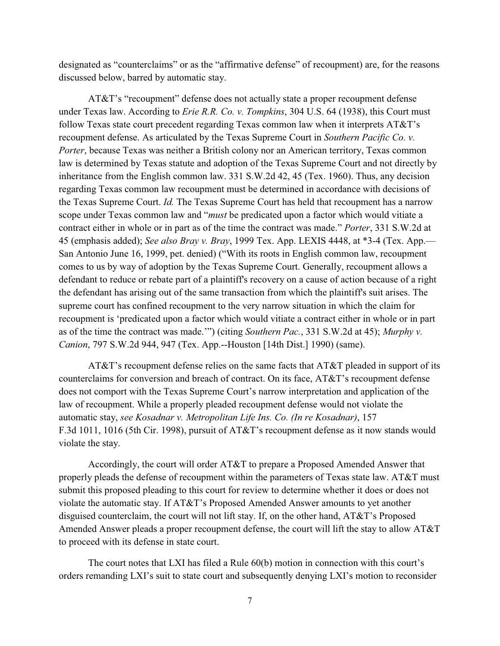designated as "counterclaims" or as the "affirmative defense" of recoupment) are, for the reasons discussed below, barred by automatic stay.

AT&T's "recoupment" defense does not actually state a proper recoupment defense under Texas law. According to *Erie R.R. Co. v. Tompkins*, 304 U.S. 64 (1938), this Court must follow Texas state court precedent regarding Texas common law when it interprets AT&T's recoupment defense. As articulated by the Texas Supreme Court in *Southern Pacific Co. v. Porter*, because Texas was neither a British colony nor an American territory, Texas common law is determined by Texas statute and adoption of the Texas Supreme Court and not directly by inheritance from the English common law. 331 S.W.2d 42, 45 (Tex. 1960). Thus, any decision regarding Texas common law recoupment must be determined in accordance with decisions of the Texas Supreme Court. *Id.* The Texas Supreme Court has held that recoupment has a narrow scope under Texas common law and "*must* be predicated upon a factor which would vitiate a contract either in whole or in part as of the time the contract was made." *Porter*, 331 S.W.2d at 45 (emphasis added); *See also Bray v. Bray*, 1999 Tex. App. LEXIS 4448, at \*3-4 (Tex. App.— San Antonio June 16, 1999, pet. denied) ("With its roots in English common law, recoupment comes to us by way of adoption by the Texas Supreme Court. Generally, recoupment allows a defendant to reduce or rebate part of a plaintiff's recovery on a cause of action because of a right the defendant has arising out of the same transaction from which the plaintiff's suit arises. The supreme court has confined recoupment to the very narrow situation in which the claim for recoupment is 'predicated upon a factor which would vitiate a contract either in whole or in part as of the time the contract was made.'") (citing *Southern Pac.*, 331 S.W.2d at 45); *Murphy v. Canion*, 797 S.W.2d 944, 947 (Tex. App.--Houston [14th Dist.] 1990) (same).

AT&T's recoupment defense relies on the same facts that AT&T pleaded in support of its counterclaims for conversion and breach of contract. On its face, AT&T's recoupment defense does not comport with the Texas Supreme Court's narrow interpretation and application of the law of recoupment. While a properly pleaded recoupment defense would not violate the automatic stay, *see Kosadnar v. Metropolitan Life Ins. Co. (In re Kosadnar)*, 157 F.3d 1011, 1016 (5th Cir. 1998), pursuit of AT&T's recoupment defense as it now stands would violate the stay.

Accordingly, the court will order AT&T to prepare a Proposed Amended Answer that properly pleads the defense of recoupment within the parameters of Texas state law. AT&T must submit this proposed pleading to this court for review to determine whether it does or does not violate the automatic stay. If AT&T's Proposed Amended Answer amounts to yet another disguised counterclaim, the court will not lift stay. If, on the other hand, AT&T's Proposed Amended Answer pleads a proper recoupment defense, the court will lift the stay to allow AT&T to proceed with its defense in state court.

The court notes that LXI has filed a Rule 60(b) motion in connection with this court's orders remanding LXI's suit to state court and subsequently denying LXI's motion to reconsider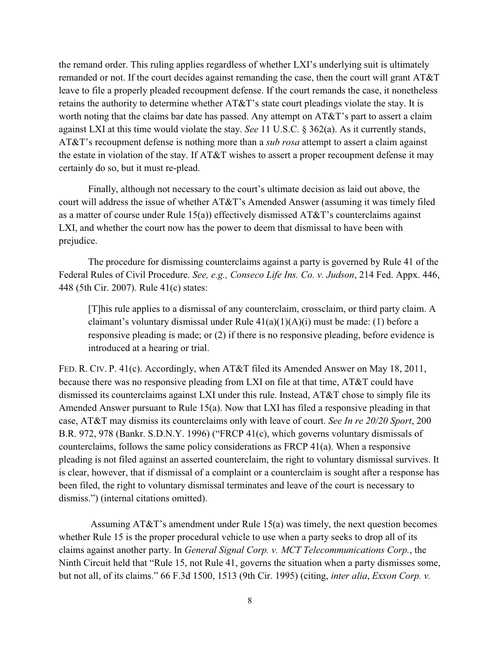the remand order. This ruling applies regardless of whether LXI's underlying suit is ultimately remanded or not. If the court decides against remanding the case, then the court will grant AT&T leave to file a properly pleaded recoupment defense. If the court remands the case, it nonetheless retains the authority to determine whether AT&T's state court pleadings violate the stay. It is worth noting that the claims bar date has passed. Any attempt on AT&T's part to assert a claim against LXI at this time would violate the stay. *See* 11 U.S.C. § 362(a). As it currently stands, AT&T's recoupment defense is nothing more than a *sub rosa* attempt to assert a claim against the estate in violation of the stay. If AT&T wishes to assert a proper recoupment defense it may certainly do so, but it must re-plead.

Finally, although not necessary to the court's ultimate decision as laid out above, the court will address the issue of whether AT&T's Amended Answer (assuming it was timely filed as a matter of course under Rule 15(a)) effectively dismissed AT&T's counterclaims against LXI, and whether the court now has the power to deem that dismissal to have been with prejudice.

The procedure for dismissing counterclaims against a party is governed by Rule 41 of the Federal Rules of Civil Procedure. *See, e.g., Conseco Life Ins. Co. v. Judson*, 214 Fed. Appx. 446, 448 (5th Cir. 2007). Rule 41(c) states:

[T]his rule applies to a dismissal of any counterclaim, crossclaim, or third party claim. A claimant's voluntary dismissal under Rule  $41(a)(1)(A)(i)$  must be made: (1) before a responsive pleading is made; or (2) if there is no responsive pleading, before evidence is introduced at a hearing or trial.

FED. R. CIV. P. 41(c). Accordingly, when AT&T filed its Amended Answer on May 18, 2011, because there was no responsive pleading from LXI on file at that time, AT&T could have dismissed its counterclaims against LXI under this rule. Instead, AT&T chose to simply file its Amended Answer pursuant to Rule 15(a). Now that LXI has filed a responsive pleading in that case, AT&T may dismiss its counterclaims only with leave of court. *See In re 20/20 Sport*, 200 B.R. 972, 978 (Bankr. S.D.N.Y. 1996) ("FRCP 41(c), which governs voluntary dismissals of counterclaims, follows the same policy considerations as FRCP 41(a). When a responsive pleading is not filed against an asserted counterclaim, the right to voluntary dismissal survives. It is clear, however, that if dismissal of a complaint or a counterclaim is sought after a response has been filed, the right to voluntary dismissal terminates and leave of the court is necessary to dismiss.") (internal citations omitted).

Assuming AT&T's amendment under Rule 15(a) was timely, the next question becomes whether Rule 15 is the proper procedural vehicle to use when a party seeks to drop all of its claims against another party. In *General Signal Corp. v. MCT Telecommunications Corp.*, the Ninth Circuit held that "Rule 15, not Rule 41, governs the situation when a party dismisses some, but not all, of its claims." 66 F.3d 1500, 1513 (9th Cir. 1995) (citing, *inter alia*, *Exxon Corp. v.*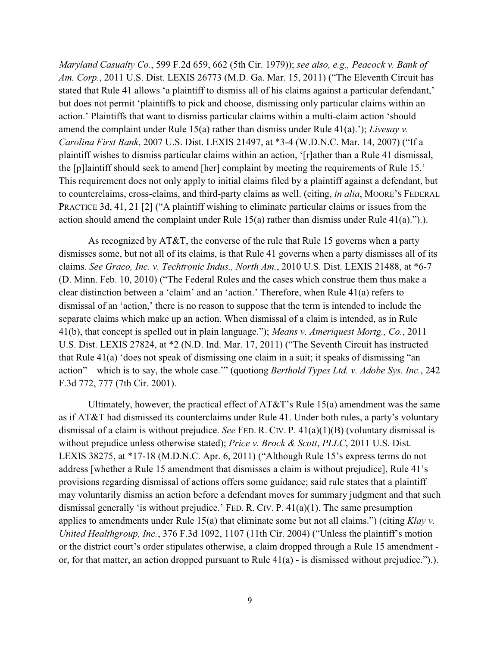*Maryland Casualty Co.*, 599 F.2d 659, 662 (5th Cir. 1979)); *see also, e.g., Peacock v. Bank of Am. Corp.*, 2011 U.S. Dist. LEXIS 26773 (M.D. Ga. Mar. 15, 2011) ("The Eleventh Circuit has stated that Rule 41 allows 'a plaintiff to dismiss all of his claims against a particular defendant,' but does not permit 'plaintiffs to pick and choose, dismissing only particular claims within an action.' Plaintiffs that want to dismiss particular claims within a multi-claim action 'should amend the complaint under Rule 15(a) rather than dismiss under Rule 41(a).'); *Livesay v. Carolina First Bank*, 2007 U.S. Dist. LEXIS 21497, at \*3-4 (W.D.N.C. Mar. 14, 2007) ("If a plaintiff wishes to dismiss particular claims within an action, '[r]ather than a Rule 41 dismissal, the [p]laintiff should seek to amend [her] complaint by meeting the requirements of Rule 15.' This requirement does not only apply to initial claims filed by a plaintiff against a defendant, but to counterclaims, cross-claims, and third-party claims as well. (citing, *in alia*, MOORE'S FEDERAL PRACTICE 3d, 41, 21 [2] ("A plaintiff wishing to eliminate particular claims or issues from the action should amend the complaint under Rule 15(a) rather than dismiss under Rule 41(a).").).

As recognized by AT&T, the converse of the rule that Rule 15 governs when a party dismisses some, but not all of its claims, is that Rule 41 governs when a party dismisses all of its claims. *See Graco, Inc. v. Techtronic Indus., North Am.*, 2010 U.S. Dist. LEXIS 21488, at \*6-7 (D. Minn. Feb. 10, 2010) ("The Federal Rules and the cases which construe them thus make a clear distinction between a 'claim' and an 'action.' Therefore, when Rule 41(a) refers to dismissal of an 'action,' there is no reason to suppose that the term is intended to include the separate claims which make up an action. When dismissal of a claim is intended, as in Rule 41(b), that concept is spelled out in plain language."); *Means v. Ameriquest Mortg., Co.*, 2011 U.S. Dist. LEXIS 27824, at \*2 (N.D. Ind. Mar. 17, 2011) ("The Seventh Circuit has instructed that Rule 41(a) 'does not speak of dismissing one claim in a suit; it speaks of dismissing "an action"—which is to say, the whole case.'" (quotiong *Berthold Types Ltd. v. Adobe Sys. Inc.*, 242 F.3d 772, 777 (7th Cir. 2001).

Ultimately, however, the practical effect of  $AT&T$ 's Rule 15(a) amendment was the same as if AT&T had dismissed its counterclaims under Rule 41. Under both rules, a party's voluntary dismissal of a claim is without prejudice. *See* FED. R. CIV. P. 41(a)(1)(B) (voluntary dismissal is without prejudice unless otherwise stated); *Price v. Brock & Scott*, *PLLC*, 2011 U.S. Dist. LEXIS 38275, at \*17-18 (M.D.N.C. Apr. 6, 2011) ("Although Rule 15's express terms do not address [whether a Rule 15 amendment that dismisses a claim is without prejudice], Rule 41's provisions regarding dismissal of actions offers some guidance; said rule states that a plaintiff may voluntarily dismiss an action before a defendant moves for summary judgment and that such dismissal generally 'is without prejudice.' FED. R. CIV. P. 41(a)(1). The same presumption applies to amendments under Rule 15(a) that eliminate some but not all claims.") (citing *Klay v. United Healthgroup, Inc.*, 376 F.3d 1092, 1107 (11th Cir. 2004) ("Unless the plaintiff's motion or the district court's order stipulates otherwise, a claim dropped through a Rule 15 amendment or, for that matter, an action dropped pursuant to Rule 41(a) - is dismissed without prejudice.").).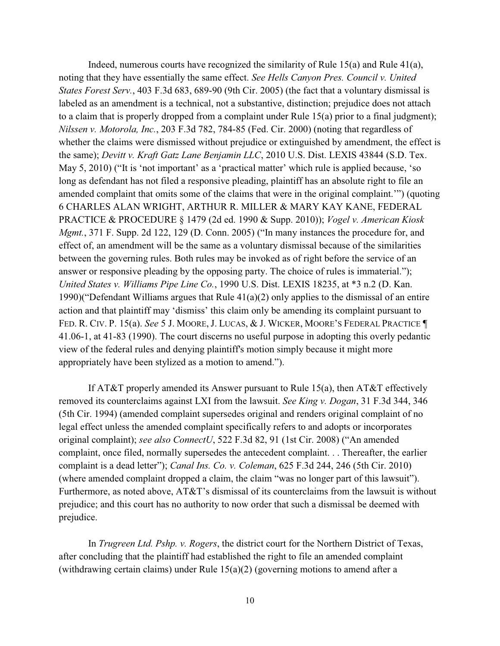Indeed, numerous courts have recognized the similarity of Rule  $15(a)$  and Rule  $41(a)$ , noting that they have essentially the same effect. *See Hells Canyon Pres. Council v. United States Forest Serv.*, 403 F.3d 683, 689-90 (9th Cir. 2005) (the fact that a voluntary dismissal is labeled as an amendment is a technical, not a substantive, distinction; prejudice does not attach to a claim that is properly dropped from a complaint under Rule 15(a) prior to a final judgment); *Nilssen v. Motorola, Inc.*, 203 F.3d 782, 784-85 (Fed. Cir. 2000) (noting that regardless of whether the claims were dismissed without prejudice or extinguished by amendment, the effect is the same); *Devitt v. Kraft Gatz Lane Benjamin LLC*, 2010 U.S. Dist. LEXIS 43844 (S.D. Tex. May 5, 2010) ("It is 'not important' as a 'practical matter' which rule is applied because, 'so long as defendant has not filed a responsive pleading, plaintiff has an absolute right to file an amended complaint that omits some of the claims that were in the original complaint.'") (quoting 6 CHARLES ALAN WRIGHT, ARTHUR R. MILLER & MARY KAY KANE, FEDERAL PRACTICE & PROCEDURE § 1479 (2d ed. 1990 & Supp. 2010)); *Vogel v. American Kiosk Mgmt.*, 371 F. Supp. 2d 122, 129 (D. Conn. 2005) ("In many instances the procedure for, and effect of, an amendment will be the same as a voluntary dismissal because of the similarities between the governing rules. Both rules may be invoked as of right before the service of an answer or responsive pleading by the opposing party. The choice of rules is immaterial."); *United States v. Williams Pipe Line Co.*, 1990 U.S. Dist. LEXIS 18235, at \*3 n.2 (D. Kan. 1990)("Defendant Williams argues that Rule 41(a)(2) only applies to the dismissal of an entire action and that plaintiff may 'dismiss' this claim only be amending its complaint pursuant to FED. R. CIV. P. 15(a). *See* 5 J. MOORE, J. LUCAS, & J. WICKER, MOORE'S FEDERAL PRACTICE ¶ 41.06-1, at 41-83 (1990). The court discerns no useful purpose in adopting this overly pedantic view of the federal rules and denying plaintiff's motion simply because it might more appropriately have been stylized as a motion to amend.").

If AT&T properly amended its Answer pursuant to Rule 15(a), then AT&T effectively removed its counterclaims against LXI from the lawsuit. *See King v. Dogan*, 31 F.3d 344, 346 (5th Cir. 1994) (amended complaint supersedes original and renders original complaint of no legal effect unless the amended complaint specifically refers to and adopts or incorporates original complaint); *see also ConnectU*, 522 F.3d 82, 91 (1st Cir. 2008) ("An amended complaint, once filed, normally supersedes the antecedent complaint. . . Thereafter, the earlier complaint is a dead letter"); *Canal Ins. Co. v. Coleman*, 625 F.3d 244, 246 (5th Cir. 2010) (where amended complaint dropped a claim, the claim "was no longer part of this lawsuit"). Furthermore, as noted above, AT&T's dismissal of its counterclaims from the lawsuit is without prejudice; and this court has no authority to now order that such a dismissal be deemed with prejudice.

In *Trugreen Ltd. Pshp. v. Rogers*, the district court for the Northern District of Texas, after concluding that the plaintiff had established the right to file an amended complaint (withdrawing certain claims) under Rule 15(a)(2) (governing motions to amend after a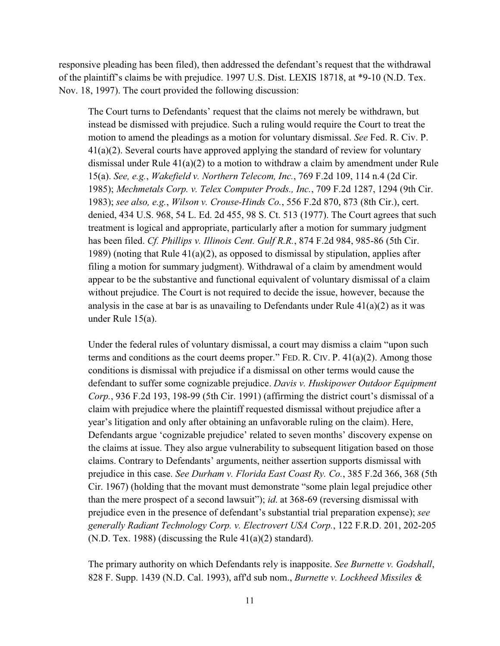responsive pleading has been filed), then addressed the defendant's request that the withdrawal of the plaintiff's claims be with prejudice. 1997 U.S. Dist. LEXIS 18718, at \*9-10 (N.D. Tex. Nov. 18, 1997). The court provided the following discussion:

The Court turns to Defendants' request that the claims not merely be withdrawn, but instead be dismissed with prejudice. Such a ruling would require the Court to treat the motion to amend the pleadings as a motion for voluntary dismissal. *See* Fed. R. Civ. P. 41(a)(2). Several courts have approved applying the standard of review for voluntary dismissal under Rule  $41(a)(2)$  to a motion to withdraw a claim by amendment under Rule 15(a). *See, e.g.*, *Wakefield v. Northern Telecom, Inc.*, 769 F.2d 109, 114 n.4 (2d Cir. 1985); *Mechmetals Corp. v. Telex Computer Prods., Inc.*, 709 F.2d 1287, 1294 (9th Cir. 1983); *see also, e.g.*, *Wilson v. Crouse-Hinds Co.*, 556 F.2d 870, 873 (8th Cir.), cert. denied, 434 U.S. 968, 54 L. Ed. 2d 455, 98 S. Ct. 513 (1977). The Court agrees that such treatment is logical and appropriate, particularly after a motion for summary judgment has been filed. *Cf. Phillips v. Illinois Cent. Gulf R.R.*, 874 F.2d 984, 985-86 (5th Cir. 1989) (noting that Rule  $41(a)(2)$ , as opposed to dismissal by stipulation, applies after filing a motion for summary judgment). Withdrawal of a claim by amendment would appear to be the substantive and functional equivalent of voluntary dismissal of a claim without prejudice. The Court is not required to decide the issue, however, because the analysis in the case at bar is as unavailing to Defendants under Rule  $41(a)(2)$  as it was under Rule 15(a).

Under the federal rules of voluntary dismissal, a court may dismiss a claim "upon such terms and conditions as the court deems proper." FED. R. CIV. P. 41(a)(2). Among those conditions is dismissal with prejudice if a dismissal on other terms would cause the defendant to suffer some cognizable prejudice. *Davis v. Huskipower Outdoor Equipment Corp.*, 936 F.2d 193, 198-99 (5th Cir. 1991) (affirming the district court's dismissal of a claim with prejudice where the plaintiff requested dismissal without prejudice after a year's litigation and only after obtaining an unfavorable ruling on the claim). Here, Defendants argue 'cognizable prejudice' related to seven months' discovery expense on the claims at issue. They also argue vulnerability to subsequent litigation based on those claims. Contrary to Defendants' arguments, neither assertion supports dismissal with prejudice in this case. *See Durham v. Florida East Coast Ry. Co.*, 385 F.2d 366, 368 (5th Cir. 1967) (holding that the movant must demonstrate "some plain legal prejudice other than the mere prospect of a second lawsuit"); *id*. at 368-69 (reversing dismissal with prejudice even in the presence of defendant's substantial trial preparation expense); *see generally Radiant Technology Corp. v. Electrovert USA Corp.*, 122 F.R.D. 201, 202-205 (N.D. Tex. 1988) (discussing the Rule  $41(a)(2)$  standard).

The primary authority on which Defendants rely is inapposite. *See Burnette v. Godshall*, 828 F. Supp. 1439 (N.D. Cal. 1993), aff'd sub nom., *Burnette v. Lockheed Missiles &*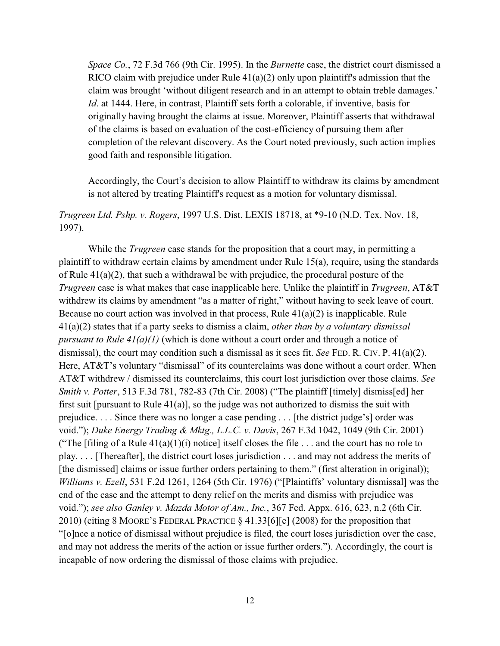*Space Co.*, 72 F.3d 766 (9th Cir. 1995). In the *Burnette* case, the district court dismissed a RICO claim with prejudice under Rule  $41(a)(2)$  only upon plaintiff's admission that the claim was brought 'without diligent research and in an attempt to obtain treble damages.' *Id*. at 1444. Here, in contrast, Plaintiff sets forth a colorable, if inventive, basis for originally having brought the claims at issue. Moreover, Plaintiff asserts that withdrawal of the claims is based on evaluation of the cost-efficiency of pursuing them after completion of the relevant discovery. As the Court noted previously, such action implies good faith and responsible litigation.

Accordingly, the Court's decision to allow Plaintiff to withdraw its claims by amendment is not altered by treating Plaintiff's request as a motion for voluntary dismissal.

## *Trugreen Ltd. Pshp. v. Rogers*, 1997 U.S. Dist. LEXIS 18718, at \*9-10 (N.D. Tex. Nov. 18, 1997).

While the *Trugreen* case stands for the proposition that a court may, in permitting a plaintiff to withdraw certain claims by amendment under Rule 15(a), require, using the standards of Rule 41(a)(2), that such a withdrawal be with prejudice, the procedural posture of the *Trugreen* case is what makes that case inapplicable here. Unlike the plaintiff in *Trugreen*, AT&T withdrew its claims by amendment "as a matter of right," without having to seek leave of court. Because no court action was involved in that process, Rule  $41(a)(2)$  is inapplicable. Rule 41(a)(2) states that if a party seeks to dismiss a claim, *other than by a voluntary dismissal pursuant to Rule 41(a)(1)* (which is done without a court order and through a notice of dismissal), the court may condition such a dismissal as it sees fit. *See* FED. R. CIV. P. 41(a)(2). Here, AT&T's voluntary "dismissal" of its counterclaims was done without a court order. When AT&T withdrew / dismissed its counterclaims, this court lost jurisdiction over those claims. *See Smith v. Potter*, 513 F.3d 781, 782-83 (7th Cir. 2008) ("The plaintiff [timely] dismiss[ed] her first suit [pursuant to Rule 41(a)], so the judge was not authorized to dismiss the suit with prejudice. . . . Since there was no longer a case pending . . . [the district judge's] order was void."); *Duke Energy Trading & Mktg., L.L.C. v. Davis*, 267 F.3d 1042, 1049 (9th Cir. 2001) ("The [filing of a Rule  $41(a)(1)(i)$  notice] itself closes the file ... and the court has no role to play. . . . [Thereafter], the district court loses jurisdiction . . . and may not address the merits of [the dismissed] claims or issue further orders pertaining to them." (first alteration in original)); *Williams v. Ezell*, 531 F.2d 1261, 1264 (5th Cir. 1976) ("[Plaintiffs' voluntary dismissal] was the end of the case and the attempt to deny relief on the merits and dismiss with prejudice was void."); *see also Ganley v. Mazda Motor of Am., Inc.*, 367 Fed. Appx. 616, 623, n.2 (6th Cir. 2010) (citing 8 MOORE'S FEDERAL PRACTICE § 41.33[6][e] (2008) for the proposition that "[o]nce a notice of dismissal without prejudice is filed, the court loses jurisdiction over the case, and may not address the merits of the action or issue further orders."). Accordingly, the court is incapable of now ordering the dismissal of those claims with prejudice.